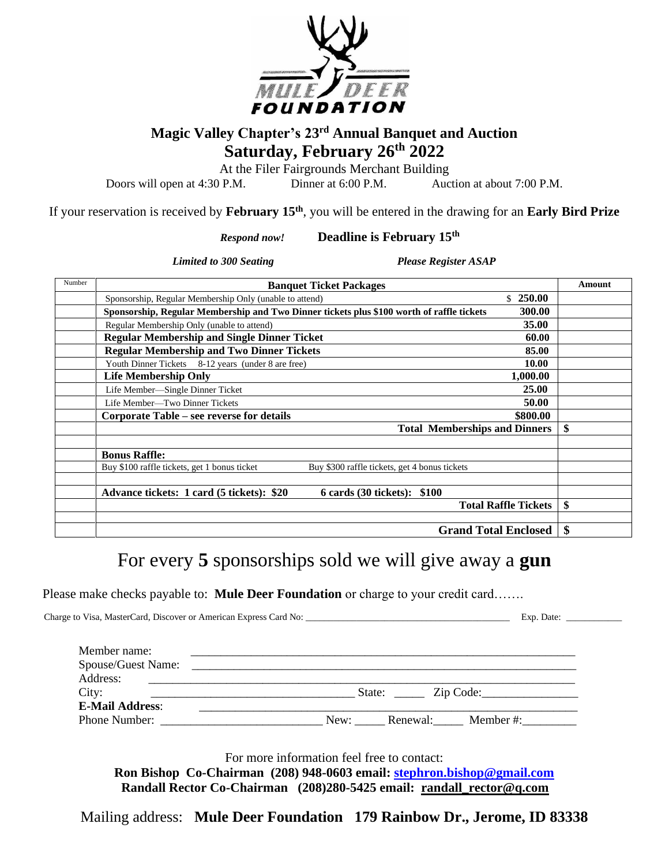

## **Magic Valley Chapter's 23 rd Annual Banquet and Auction Saturday, February 26 th 2022**

At the Filer Fairgrounds Merchant Building

Doors will open at 4:30 P.M. Dinner at 6:00 P.M. Auction at about 7:00 P.M.

If your reservation is received by **February 15th**, you will be entered in the drawing for an **Early Bird Prize**

 *Respond now!* **Deadline is February 15th**

*Limited to 300 Seating Please Register ASAP* 

| Number | <b>Banquet Ticket Packages</b>                                                                      | Amount |
|--------|-----------------------------------------------------------------------------------------------------|--------|
|        | 250.00<br>\$.<br>Sponsorship, Regular Membership Only (unable to attend)                            |        |
|        | 300.00<br>Sponsorship, Regular Membership and Two Dinner tickets plus \$100 worth of raffle tickets |        |
|        | 35.00<br>Regular Membership Only (unable to attend)                                                 |        |
|        | <b>Regular Membership and Single Dinner Ticket</b><br>60.00                                         |        |
|        | <b>Regular Membership and Two Dinner Tickets</b><br>85.00                                           |        |
|        | 10.00<br>Youth Dinner Tickets 8-12 years (under 8 are free)                                         |        |
|        | 1,000.00<br><b>Life Membership Only</b>                                                             |        |
|        | 25.00<br>Life Member-Single Dinner Ticket                                                           |        |
|        | 50.00<br>Life Member—Two Dinner Tickets                                                             |        |
|        | \$800.00<br>Corporate Table – see reverse for details                                               |        |
|        | <b>Total Memberships and Dinners</b>                                                                | \$     |
|        | <b>Bonus Raffle:</b>                                                                                |        |
|        | Buy \$100 raffle tickets, get 1 bonus ticket<br>Buy \$300 raffle tickets, get 4 bonus tickets       |        |
|        | Advance tickets: 1 card (5 tickets): \$20<br>6 cards (30 tickets): \$100                            |        |
|        | <b>Total Raffle Tickets</b>                                                                         | \$     |
|        | <b>Grand Total Enclosed</b>                                                                         | \$     |

## For every **5** sponsorships sold we will give away a **gun**

Please make checks payable to: **Mule Deer Foundation** or charge to your credit card…….

 Charge to Visa, MasterCard, Discover or American Express Card No: \_\_\_\_\_\_\_\_\_\_\_\_\_\_\_\_\_\_\_\_\_\_\_\_\_\_\_\_\_\_\_\_\_\_\_\_\_\_\_\_\_\_\_\_ Exp. Date: \_\_\_\_\_\_\_\_\_\_\_\_ Member name: Spouse/Guest Name: Address: \_\_\_\_\_\_\_\_\_\_\_\_\_\_\_\_\_\_\_\_\_\_\_\_\_\_\_\_\_\_\_\_\_\_\_\_\_\_\_\_\_\_\_\_\_\_\_\_\_\_\_\_\_\_\_\_\_\_\_\_\_\_\_\_\_\_\_\_\_\_\_ City: State:  $Zip Code:$ **E-Mail Address:** Phone Number:  $\begin{array}{ccc}\n\text{New:} & \text{Renewal:} \\
\end{array}$  Member #:

For more information feel free to contact:

**Ron Bishop Co-Chairman (208) 948-0603 email: [stephron.bishop@gmail.com](mailto:stephron.bishop@gmail.com) Randall Rector Co-Chairman (208)280-5425 email: randall\_rector@q.com**

Mailing address: **Mule Deer Foundation 179 Rainbow Dr., Jerome, ID 83338**